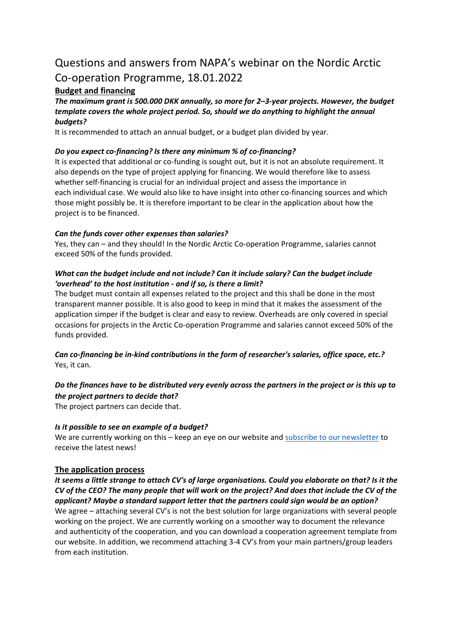# Questions and answers from NAPA's webinar on the Nordic Arctic Co-operation Programme, 18.01.2022

# **Budget and financing**

#### *The maximum grant is 500.000 DKK annually, so more for 2–3-year projects. However, the budget template covers the whole project period. So, should we do anything to highlight the annual budgets?*

It is recommended to attach an annual budget, or a budget plan divided by year.

# *Do you expect co-financing? Is there any minimum % of co-financing?*

It is expected that additional or co-funding is sought out, but it is not an absolute requirement. It also depends on the type of project applying for financing. We would therefore like to assess whether self-financing is crucial for an individual project and assess the importance in each individual case. We would also like to have insight into other co-financing sources and which those might possibly be. It is therefore important to be clear in the application about how the project is to be financed.

# *Can the funds cover other expenses than salaries?*

Yes, they can – and they should! In the Nordic Arctic Co-operation Programme, salaries cannot exceed 50% of the funds provided.

# *What can the budget include and not include? Can it include salary? Can the budget include 'overhead' to the host institution - and if so, is there a limit?*

The budget must contain all expenses related to the project and this shall be done in the most transparent manner possible. It is also good to keep in mind that it makes the assessment of the application simper if the budget is clear and easy to review. Overheads are only covered in special occasions for projects in the Arctic Co-operation Programme and salaries cannot exceed 50% of the funds provided.

# *Can co-financing be in-kind contributions in the form of researcher's salaries, office space, etc.?* Yes, it can.

# *Do the finances have to be distributed very evenly across the partners in the project or is this up to the project partners to decide that?*

The project partners can decide that.

# *Is it possible to see an example of a budget?*

We are currently working on this – keep an eye on our website and [subscribe to our newsletter](https://napa.gl/en/newsletter-signup/) to receive the latest news!

# **The application process**

*It seems a little strange to attach CV's of large organisations. Could you elaborate on that? Is it the CV of the CEO? The many people that will work on the project? And does that include the CV of the applicant? Maybe a standard support letter that the partners could sign would be an option?* We agree – attaching several CV's is not the best solution for large organizations with several people working on the project. We are currently working on a smoother way to document the relevance and authenticity of the cooperation, and you can download a cooperation agreement template from our website. In addition, we recommend attaching 3-4 CV's from your main partners/group leaders from each institution.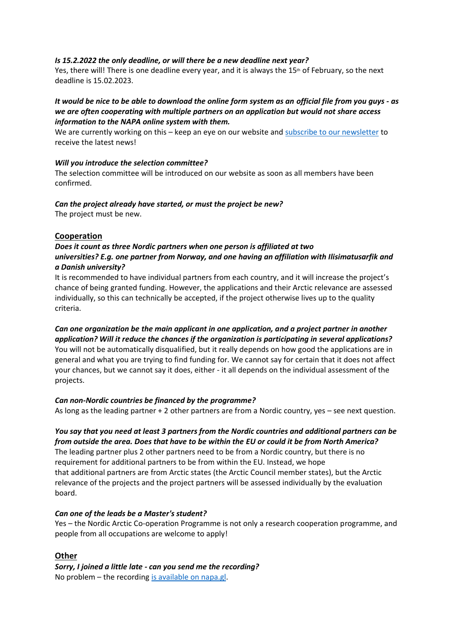#### *Is 15.2.2022 the only deadline, or will there be a new deadline next year?*

Yes, there will! There is one deadline every year, and it is always the 15<sup>th</sup> of February, so the next deadline is 15.02.2023.

#### *It would be nice to be able to download the online form system as an official file from you guys - as we are often cooperating with multiple partners on an application but would not share access information to the NAPA online system with them.*

We are currently working on this – keep an eye on our website and [subscribe to our newsletter](https://napa.gl/en/newsletter-signup/) to receive the latest news!

#### *Will you introduce the selection committee?*

The selection committee will be introduced on our website as soon as all members have been confirmed.

#### *Can the project already have started, or must the project be new?* The project must be new.

#### **Cooperation**

### *Does it count as three Nordic partners when one person is affiliated at two universities? E.g. one partner from Norway, and one having an affiliation with Ilisimatusarfik and a Danish university?*

It is recommended to have individual partners from each country, and it will increase the project's chance of being granted funding. However, the applications and their Arctic relevance are assessed individually, so this can technically be accepted, if the project otherwise lives up to the quality criteria.

# *Can one organization be the main applicant in one application, and a project partner in another application? Will it reduce the chances if the organization is participating in several applications?*

You will not be automatically disqualified, but it really depends on how good the applications are in general and what you are trying to find funding for. We cannot say for certain that it does not affect your chances, but we cannot say it does, either - it all depends on the individual assessment of the projects.

#### *Can non-Nordic countries be financed by the programme?*

As long as the leading partner + 2 other partners are from a Nordic country, yes – see next question.

# *You say that you need at least 3 partners from the Nordic countries and additional partners can be from outside the area. Does that have to be within the EU or could it be from North America?*

The leading partner plus 2 other partners need to be from a Nordic country, but there is no requirement for additional partners to be from within the EU. Instead, we hope that additional partners are from Arctic states (the Arctic Council member states), but the Arctic relevance of the projects and the project partners will be assessed individually by the evaluation board.

#### *Can one of the leads be a Master's student?*

Yes – the Nordic Arctic Co-operation Programme is not only a research cooperation programme, and people from all occupations are welcome to apply!

# **Other**

*Sorry, I joined a little late - can you send me the recording?* No problem – the recording [is available on napa.gl.](mailto:https://napa.gl/en/arctic-cooperation-programme/)